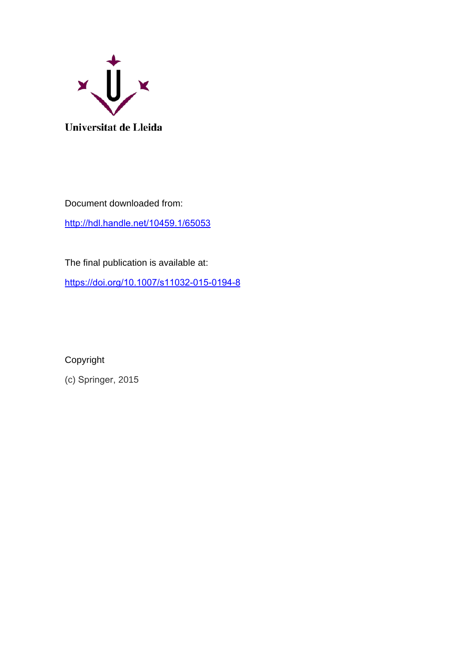

Document downloaded from: <http://hdl.handle.net/10459.1/65053>

The final publication is available at:

<https://doi.org/10.1007/s11032-015-0194-8>

Copyright

(c) Springer, 2015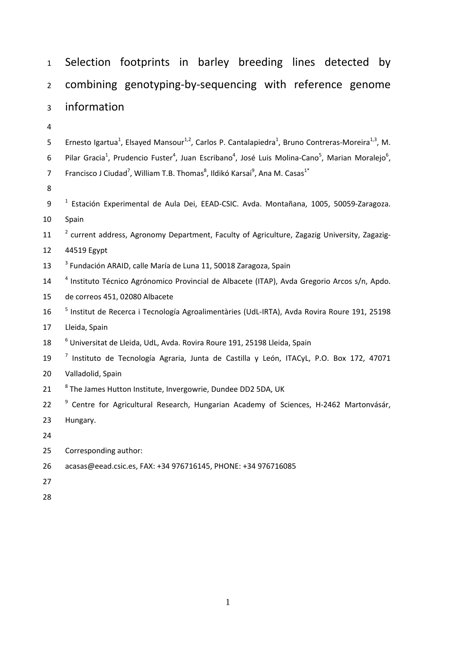| $\mathbf{1}$   | Selection footprints in barley breeding lines detected<br>. by                                                                                                |  |  |  |  |  |  |  |  |
|----------------|---------------------------------------------------------------------------------------------------------------------------------------------------------------|--|--|--|--|--|--|--|--|
| $\overline{2}$ | combining genotyping-by-sequencing with reference genome                                                                                                      |  |  |  |  |  |  |  |  |
| 3              | information                                                                                                                                                   |  |  |  |  |  |  |  |  |
| $\overline{4}$ |                                                                                                                                                               |  |  |  |  |  |  |  |  |
| 5              | Ernesto Igartua <sup>1</sup> , Elsayed Mansour <sup>1,2</sup> , Carlos P. Cantalapiedra <sup>1</sup> , Bruno Contreras-Moreira <sup>1,3</sup> , M.            |  |  |  |  |  |  |  |  |
| 6              | Pilar Gracia <sup>1</sup> , Prudencio Fuster <sup>4</sup> , Juan Escribano <sup>4</sup> , José Luis Molina-Cano <sup>5</sup> , Marian Moralejo <sup>6</sup> , |  |  |  |  |  |  |  |  |
| $\overline{7}$ | Francisco J Ciudad <sup>7</sup> , William T.B. Thomas <sup>8</sup> , Ildikó Karsai <sup>9</sup> , Ana M. Casas <sup>1*</sup>                                  |  |  |  |  |  |  |  |  |
| 8              |                                                                                                                                                               |  |  |  |  |  |  |  |  |
| 9              | <sup>1</sup> Estación Experimental de Aula Dei, EEAD-CSIC. Avda. Montañana, 1005, 50059-Zaragoza.                                                             |  |  |  |  |  |  |  |  |
| 10             | Spain                                                                                                                                                         |  |  |  |  |  |  |  |  |
| 11             | <sup>2</sup> current address, Agronomy Department, Faculty of Agriculture, Zagazig University, Zagazig-                                                       |  |  |  |  |  |  |  |  |
| 12             | 44519 Egypt                                                                                                                                                   |  |  |  |  |  |  |  |  |
| 13             | <sup>3</sup> Fundación ARAID, calle María de Luna 11, 50018 Zaragoza, Spain                                                                                   |  |  |  |  |  |  |  |  |
| 14             | <sup>4</sup> Instituto Técnico Agrónomico Provincial de Albacete (ITAP), Avda Gregorio Arcos s/n, Apdo.                                                       |  |  |  |  |  |  |  |  |
| 15             | de correos 451, 02080 Albacete                                                                                                                                |  |  |  |  |  |  |  |  |
| 16             | <sup>5</sup> Institut de Recerca i Tecnología Agroalimentàries (UdL-IRTA), Avda Rovira Roure 191, 25198                                                       |  |  |  |  |  |  |  |  |
| 17             | Lleida, Spain                                                                                                                                                 |  |  |  |  |  |  |  |  |
| 18             | <sup>6</sup> Universitat de Lleida, UdL, Avda. Rovira Roure 191, 25198 Lleida, Spain                                                                          |  |  |  |  |  |  |  |  |
| 19             | <sup>7</sup> Instituto de Tecnología Agraria, Junta de Castilla y León, ITACyL, P.O. Box 172, 47071                                                           |  |  |  |  |  |  |  |  |
| 20             | Valladolid, Spain                                                                                                                                             |  |  |  |  |  |  |  |  |
| 21             | <sup>8</sup> The James Hutton Institute, Invergowrie, Dundee DD2 5DA, UK                                                                                      |  |  |  |  |  |  |  |  |
| 22             | Centre for Agricultural Research, Hungarian Academy of Sciences, H-2462 Martonvásár,                                                                          |  |  |  |  |  |  |  |  |
| 23             | Hungary.                                                                                                                                                      |  |  |  |  |  |  |  |  |
| 24             |                                                                                                                                                               |  |  |  |  |  |  |  |  |
| 25             | Corresponding author:                                                                                                                                         |  |  |  |  |  |  |  |  |
| 26             | acasas@eead.csic.es, FAX: +34 976716145, PHONE: +34 976716085                                                                                                 |  |  |  |  |  |  |  |  |
| 27             |                                                                                                                                                               |  |  |  |  |  |  |  |  |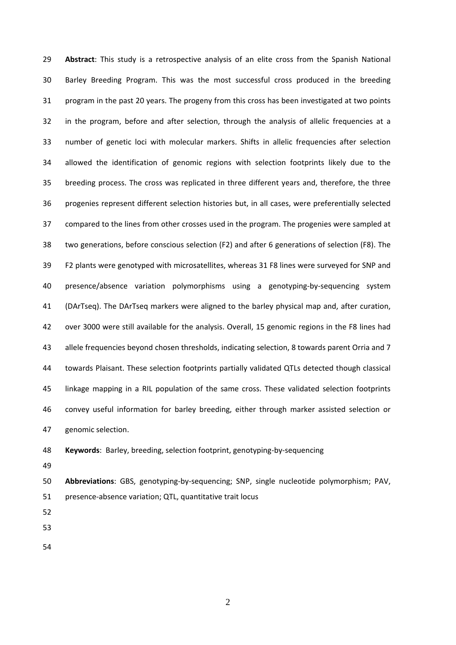**Abstract**: This study is a retrospective analysis of an elite cross from the Spanish National Barley Breeding Program. This was the most successful cross produced in the breeding program in the past 20 years. The progeny from this cross has been investigated at two points in the program, before and after selection, through the analysis of allelic frequencies at a number of genetic loci with molecular markers. Shifts in allelic frequencies after selection allowed the identification of genomic regions with selection footprints likely due to the breeding process. The cross was replicated in three different years and, therefore, the three progenies represent different selection histories but, in all cases, were preferentially selected compared to the lines from other crosses used in the program. The progenies were sampled at two generations, before conscious selection (F2) and after 6 generations of selection (F8). The F2 plants were genotyped with microsatellites, whereas 31 F8 lines were surveyed for SNP and presence/absence variation polymorphisms using a genotyping‐by‐sequencing system (DArTseq). The DArTseq markers were aligned to the barley physical map and, after curation, over 3000 were still available for the analysis. Overall, 15 genomic regions in the F8 lines had allele frequencies beyond chosen thresholds, indicating selection, 8 towards parent Orria and 7 towards Plaisant. These selection footprints partially validated QTLs detected though classical linkage mapping in a RIL population of the same cross. These validated selection footprints convey useful information for barley breeding, either through marker assisted selection or genomic selection.

**Keywords**: Barley, breeding, selection footprint, genotyping‐by‐sequencing

 **Abbreviations**: GBS, genotyping‐by‐sequencing; SNP, single nucleotide polymorphism; PAV, presence‐absence variation; QTL, quantitative trait locus

- 
-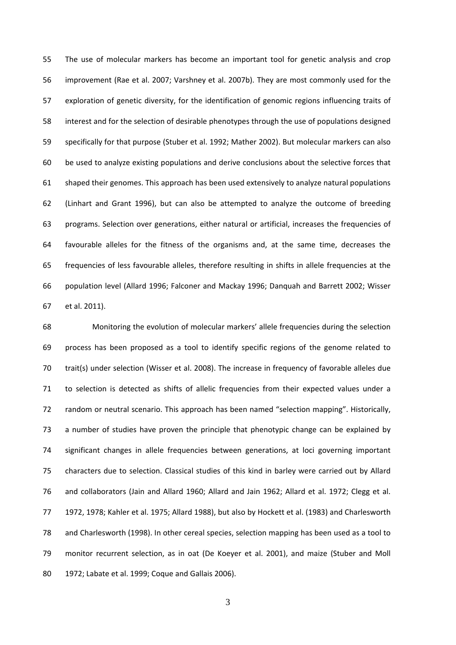The use of molecular markers has become an important tool for genetic analysis and crop improvement (Rae et al. 2007; Varshney et al. 2007b). They are most commonly used for the exploration of genetic diversity, for the identification of genomic regions influencing traits of interest and for the selection of desirable phenotypes through the use of populations designed specifically for that purpose (Stuber et al. 1992; Mather 2002). But molecular markers can also be used to analyze existing populations and derive conclusions about the selective forces that shaped their genomes. This approach has been used extensively to analyze natural populations (Linhart and Grant 1996), but can also be attempted to analyze the outcome of breeding programs. Selection over generations, either natural or artificial, increases the frequencies of favourable alleles for the fitness of the organisms and, at the same time, decreases the frequencies of less favourable alleles, therefore resulting in shifts in allele frequencies at the population level (Allard 1996; Falconer and Mackay 1996; Danquah and Barrett 2002; Wisser et al. 2011).

 Monitoring the evolution of molecular markers' allele frequencies during the selection process has been proposed as a tool to identify specific regions of the genome related to trait(s) under selection (Wisser et al. 2008). The increase in frequency of favorable alleles due to selection is detected as shifts of allelic frequencies from their expected values under a random or neutral scenario. This approach has been named "selection mapping". Historically, a number of studies have proven the principle that phenotypic change can be explained by significant changes in allele frequencies between generations, at loci governing important characters due to selection. Classical studies of this kind in barley were carried out by Allard and collaborators (Jain and Allard 1960; Allard and Jain 1962; Allard et al. 1972; Clegg et al. 1972, 1978; Kahler et al. 1975; Allard 1988), but also by Hockett et al. (1983) and Charlesworth and Charlesworth (1998). In other cereal species, selection mapping has been used as a tool to monitor recurrent selection, as in oat (De Koeyer et al. 2001), and maize (Stuber and Moll 1972; Labate et al. 1999; Coque and Gallais 2006).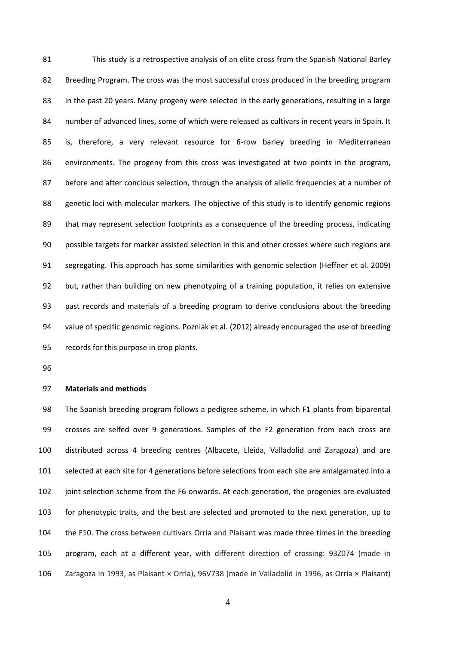This study is a retrospective analysis of an elite cross from the Spanish National Barley Breeding Program. The cross was the most successful cross produced in the breeding program in the past 20 years. Many progeny were selected in the early generations, resulting in a large 84 number of advanced lines, some of which were released as cultivars in recent years in Spain. It is, therefore, a very relevant resource for 6‐row barley breeding in Mediterranean environments. The progeny from this cross was investigated at two points in the program, before and after concious selection, through the analysis of allelic frequencies at a number of genetic loci with molecular markers. The objective of this study is to identify genomic regions that may represent selection footprints as a consequence of the breeding process, indicating possible targets for marker assisted selection in this and other crosses where such regions are segregating. This approach has some similarities with genomic selection (Heffner et al. 2009) but, rather than building on new phenotyping of a training population, it relies on extensive past records and materials of a breeding program to derive conclusions about the breeding value of specific genomic regions. Pozniak et al. (2012) already encouraged the use of breeding records for this purpose in crop plants.

#### **Materials and methods**

 The Spanish breeding program follows a pedigree scheme, in which F1 plants from biparental crosses are selfed over 9 generations. Samples of the F2 generation from each cross are distributed across 4 breeding centres (Albacete, Lleida, Valladolid and Zaragoza) and are selected at each site for 4 generations before selections from each site are amalgamated into a joint selection scheme from the F6 onwards. At each generation, the progenies are evaluated for phenotypic traits, and the best are selected and promoted to the next generation, up to the F10. The cross between cultivars Orria and Plaisant was made three times in the breeding program, each at a different year, with different direction of crossing: 93Z074 (made in Zaragoza in 1993, as Plaisant × Orria), 96V738 (made in Valladolid in 1996, as Orria × Plaisant)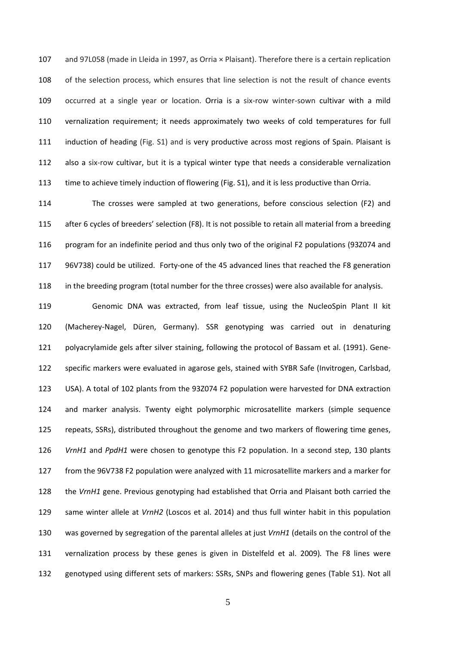and 97L058 (made in Lleida in 1997, as Orria × Plaisant). Therefore there is a certain replication of the selection process, which ensures that line selection is not the result of chance events 109 occurred at a single year or location. Orria is a six-row winter-sown cultivar with a mild vernalization requirement; it needs approximately two weeks of cold temperatures for full induction of heading (Fig. S1) and is very productive across most regions of Spain. Plaisant is 112 also a six-row cultivar, but it is a typical winter type that needs a considerable vernalization time to achieve timely induction of flowering (Fig. S1), and it is less productive than Orria.

 The crosses were sampled at two generations, before conscious selection (F2) and after 6 cycles of breeders' selection (F8). It is not possible to retain all material from a breeding program for an indefinite period and thus only two of the original F2 populations (93Z074 and 117 96V738) could be utilized. Forty-one of the 45 advanced lines that reached the F8 generation in the breeding program (total number for the three crosses) were also available for analysis.

 Genomic DNA was extracted, from leaf tissue, using the NucleoSpin Plant II kit (Macherey‐Nagel, Düren, Germany). SSR genotyping was carried out in denaturing 121 polyacrylamide gels after silver staining, following the protocol of Bassam et al. (1991). Gene- specific markers were evaluated in agarose gels, stained with SYBR Safe (Invitrogen, Carlsbad, USA). A total of 102 plants from the 93Z074 F2 population were harvested for DNA extraction and marker analysis. Twenty eight polymorphic microsatellite markers (simple sequence repeats, SSRs), distributed throughout the genome and two markers of flowering time genes, *VrnH1* and *PpdH1* were chosen to genotype this F2 population. In a second step, 130 plants from the 96V738 F2 population were analyzed with 11 microsatellite markers and a marker for the *VrnH1* gene. Previous genotyping had established that Orria and Plaisant both carried the same winter allele at *VrnH2* (Loscos et al. 2014) and thus full winter habit in this population was governed by segregation of the parental alleles at just *VrnH1* (details on the control of the vernalization process by these genes is given in Distelfeld et al. 2009)*.* The F8 lines were genotyped using different sets of markers: SSRs, SNPs and flowering genes (Table S1). Not all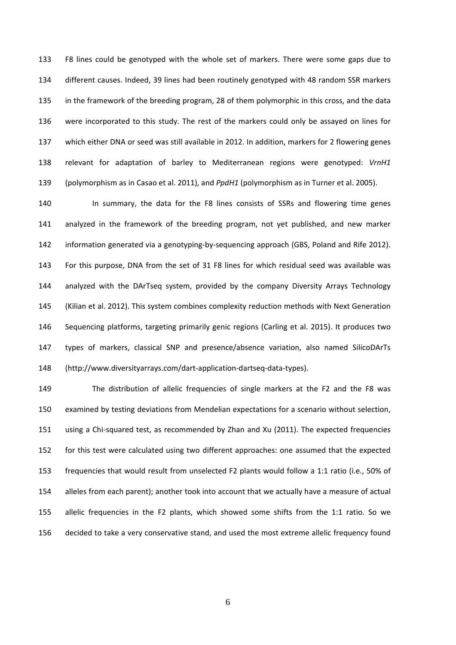F8 lines could be genotyped with the whole set of markers. There were some gaps due to different causes. Indeed, 39 lines had been routinely genotyped with 48 random SSR markers in the framework of the breeding program, 28 of them polymorphic in this cross, and the data were incorporated to this study. The rest of the markers could only be assayed on lines for which either DNA or seed was still available in 2012. In addition, markers for 2 flowering genes relevant for adaptation of barley to Mediterranean regions were genotyped: *VrnH1* (polymorphism as in Casao et al. 2011), and *PpdH1* (polymorphism as in Turner et al. 2005).

140 In summary, the data for the F8 lines consists of SSRs and flowering time genes analyzed in the framework of the breeding program, not yet published, and new marker 142 information generated via a genotyping-by-sequencing approach (GBS, Poland and Rife 2012). For this purpose, DNA from the set of 31 F8 lines for which residual seed was available was analyzed with the DArTseq system, provided by the company Diversity Arrays Technology (Kilian et al. 2012). This system combines complexity reduction methods with Next Generation Sequencing platforms, targeting primarily genic regions (Carling et al. 2015). It produces two types of markers, classical SNP and presence/absence variation, also named SilicoDArTs (http://www.diversityarrays.com/dart‐application‐dartseq‐data‐types).

 The distribution of allelic frequencies of single markers at the F2 and the F8 was examined by testing deviations from Mendelian expectations for a scenario without selection, using a Chi‐squared test, as recommended by Zhan and Xu (2011). The expected frequencies for this test were calculated using two different approaches: one assumed that the expected frequencies that would result from unselected F2 plants would follow a 1:1 ratio (i.e., 50% of alleles from each parent); another took into account that we actually have a measure of actual allelic frequencies in the F2 plants, which showed some shifts from the 1:1 ratio. So we decided to take a very conservative stand, and used the most extreme allelic frequency found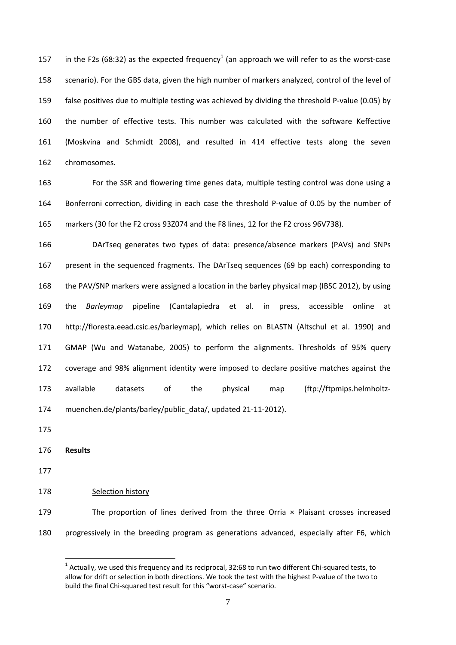157 in the F2s (68:32) as the expected frequency<sup>1</sup> (an approach we will refer to as the worst-case scenario). For the GBS data, given the high number of markers analyzed, control of the level of 159 false positives due to multiple testing was achieved by dividing the threshold P-value (0.05) by the number of effective tests. This number was calculated with the software Keffective (Moskvina and Schmidt 2008), and resulted in 414 effective tests along the seven chromosomes.

 For the SSR and flowering time genes data, multiple testing control was done using a 164 Bonferroni correction, dividing in each case the threshold P-value of 0.05 by the number of markers (30 for the F2 cross 93Z074 and the F8 lines, 12 for the F2 cross 96V738).

 DArTseq generates two types of data: presence/absence markers (PAVs) and SNPs present in the sequenced fragments. The DArTseq sequences (69 bp each) corresponding to the PAV/SNP markers were assigned a location in the barley physical map (IBSC 2012), by using the *Barleymap* pipeline (Cantalapiedra et al. in press, accessible online at http://floresta.eead.csic.es/barleymap), which relies on BLASTN (Altschul et al. 1990) and GMAP (Wu and Watanabe, 2005) to perform the alignments. Thresholds of 95% query coverage and 98% alignment identity were imposed to declare positive matches against the available datasets of the physical map (ftp://ftpmips.helmholtz‐ 174 muenchen.de/plants/barley/public\_data/, updated 21-11-2012).

- **Results**
- 

Selection history

 The proportion of lines derived from the three Orria × Plaisant crosses increased progressively in the breeding program as generations advanced, especially after F6, which

 $<sup>1</sup>$  Actually, we used this frequency and its reciprocal, 32:68 to run two different Chi-squared tests, to</sup> allow for drift or selection in both directions. We took the test with the highest P‐value of the two to build the final Chi‐squared test result for this "worst‐case" scenario.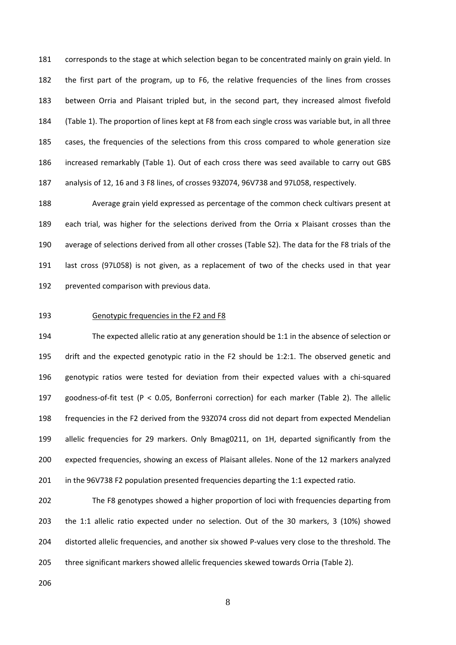corresponds to the stage at which selection began to be concentrated mainly on grain yield. In the first part of the program, up to F6, the relative frequencies of the lines from crosses between Orria and Plaisant tripled but, in the second part, they increased almost fivefold (Table 1). The proportion of lines kept at F8 from each single cross was variable but, in all three cases, the frequencies of the selections from this cross compared to whole generation size increased remarkably (Table 1). Out of each cross there was seed available to carry out GBS analysis of 12, 16 and 3 F8 lines, of crosses 93Z074, 96V738 and 97L058, respectively.

 Average grain yield expressed as percentage of the common check cultivars present at each trial, was higher for the selections derived from the Orria x Plaisant crosses than the average of selections derived from all other crosses (Table S2). The data for the F8 trials of the last cross (97L058) is not given, as a replacement of two of the checks used in that year prevented comparison with previous data.

#### Genotypic frequencies in the F2 and F8

 The expected allelic ratio at any generation should be 1:1 in the absence of selection or drift and the expected genotypic ratio in the F2 should be 1:2:1. The observed genetic and 196 genotypic ratios were tested for deviation from their expected values with a chi-squared goodness‐of‐fit test (P < 0.05, Bonferroni correction) for each marker (Table 2). The allelic frequencies in the F2 derived from the 93Z074 cross did not depart from expected Mendelian allelic frequencies for 29 markers. Only Bmag0211, on 1H, departed significantly from the expected frequencies, showing an excess of Plaisant alleles. None of the 12 markers analyzed in the 96V738 F2 population presented frequencies departing the 1:1 expected ratio.

 The F8 genotypes showed a higher proportion of loci with frequencies departing from the 1:1 allelic ratio expected under no selection. Out of the 30 markers, 3 (10%) showed 204 distorted allelic frequencies, and another six showed P-values very close to the threshold. The three significant markers showed allelic frequencies skewed towards Orria (Table 2).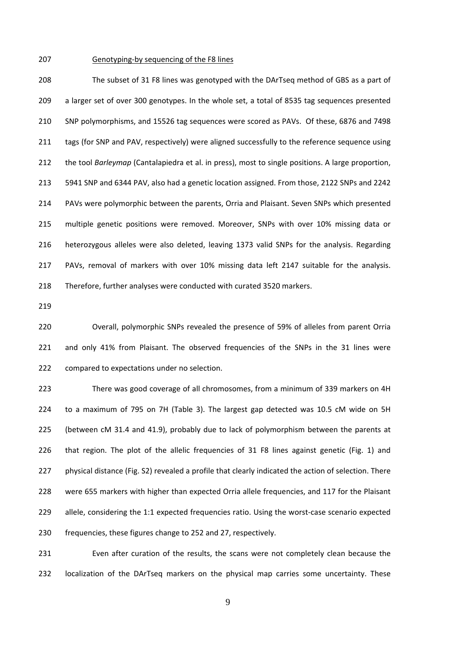## Genotyping‐by sequencing of the F8 lines

 The subset of 31 F8 lines was genotyped with the DArTseq method of GBS as a part of a larger set of over 300 genotypes. In the whole set, a total of 8535 tag sequences presented SNP polymorphisms, and 15526 tag sequences were scored as PAVs. Of these, 6876 and 7498 211 tags (for SNP and PAV, respectively) were aligned successfully to the reference sequence using the tool *Barleymap* (Cantalapiedra et al. in press), most to single positions. A large proportion, 5941 SNP and 6344 PAV, also had a genetic location assigned. From those, 2122 SNPs and 2242 PAVs were polymorphic between the parents, Orria and Plaisant. Seven SNPs which presented multiple genetic positions were removed. Moreover, SNPs with over 10% missing data or heterozygous alleles were also deleted, leaving 1373 valid SNPs for the analysis. Regarding PAVs, removal of markers with over 10% missing data left 2147 suitable for the analysis. Therefore, further analyses were conducted with curated 3520 markers.

 Overall, polymorphic SNPs revealed the presence of 59% of alleles from parent Orria and only 41% from Plaisant. The observed frequencies of the SNPs in the 31 lines were compared to expectations under no selection.

 There was good coverage of all chromosomes, from a minimum of 339 markers on 4H to a maximum of 795 on 7H (Table 3). The largest gap detected was 10.5 cM wide on 5H (between cM 31.4 and 41.9), probably due to lack of polymorphism between the parents at that region. The plot of the allelic frequencies of 31 F8 lines against genetic (Fig. 1) and 227 physical distance (Fig. S2) revealed a profile that clearly indicated the action of selection. There were 655 markers with higher than expected Orria allele frequencies, and 117 for the Plaisant 229 allele, considering the 1:1 expected frequencies ratio. Using the worst-case scenario expected frequencies, these figures change to 252 and 27, respectively.

 Even after curation of the results, the scans were not completely clean because the localization of the DArTseq markers on the physical map carries some uncertainty. These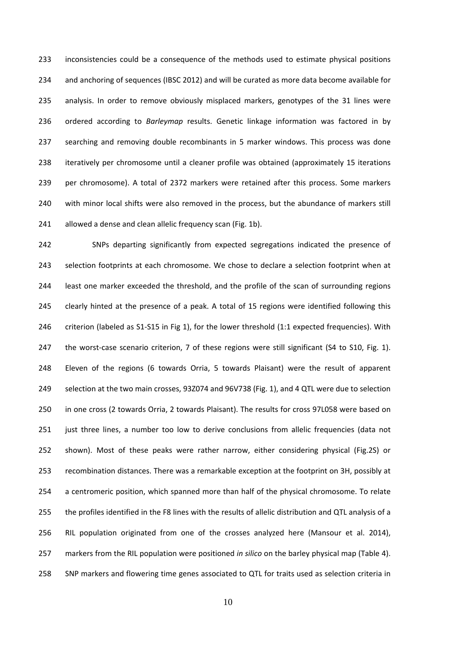inconsistencies could be a consequence of the methods used to estimate physical positions and anchoring of sequences (IBSC 2012) and will be curated as more data become available for analysis. In order to remove obviously misplaced markers, genotypes of the 31 lines were ordered according to *Barleymap* results. Genetic linkage information was factored in by searching and removing double recombinants in 5 marker windows. This process was done iteratively per chromosome until a cleaner profile was obtained (approximately 15 iterations per chromosome). A total of 2372 markers were retained after this process. Some markers 240 with minor local shifts were also removed in the process, but the abundance of markers still 241 allowed a dense and clean allelic frequency scan (Fig. 1b).

 SNPs departing significantly from expected segregations indicated the presence of selection footprints at each chromosome. We chose to declare a selection footprint when at least one marker exceeded the threshold, and the profile of the scan of surrounding regions clearly hinted at the presence of a peak. A total of 15 regions were identified following this 246 criterion (labeled as S1-S15 in Fig 1), for the lower threshold (1:1 expected frequencies). With 247 the worst-case scenario criterion, 7 of these regions were still significant (S4 to S10, Fig. 1). Eleven of the regions (6 towards Orria, 5 towards Plaisant) were the result of apparent selection at the two main crosses, 93Z074 and 96V738 (Fig. 1), and 4 QTL were due to selection in one cross (2 towards Orria, 2 towards Plaisant). The results for cross 97L058 were based on just three lines, a number too low to derive conclusions from allelic frequencies (data not shown). Most of these peaks were rather narrow, either considering physical (Fig.2S) or recombination distances. There was a remarkable exception at the footprint on 3H, possibly at a centromeric position, which spanned more than half of the physical chromosome. To relate the profiles identified in the F8 lines with the results of allelic distribution and QTL analysis of a RIL population originated from one of the crosses analyzed here (Mansour et al. 2014), markers from the RIL population were positioned *in silico* on the barley physical map (Table 4). SNP markers and flowering time genes associated to QTL for traits used as selection criteria in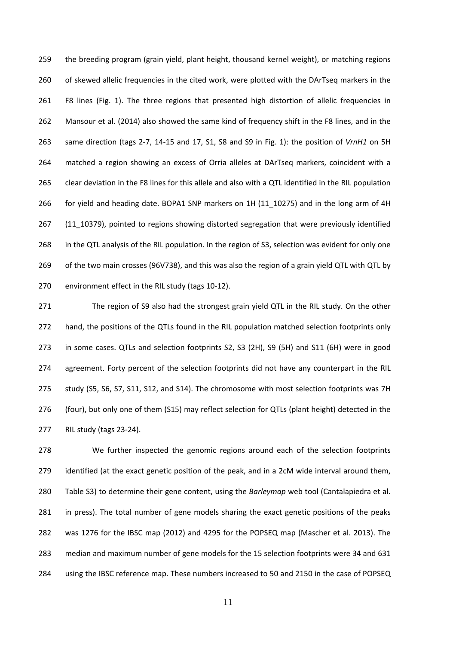the breeding program (grain yield, plant height, thousand kernel weight), or matching regions 260 of skewed allelic frequencies in the cited work, were plotted with the DArTseq markers in the F8 lines (Fig. 1). The three regions that presented high distortion of allelic frequencies in Mansour et al. (2014) also showed the same kind of frequency shift in the F8 lines, and in the same direction (tags 2‐7, 14‐15 and 17, S1, S8 and S9 in Fig. 1): the position of *VrnH1* on 5H matched a region showing an excess of Orria alleles at DArTseq markers, coincident with a clear deviation in the F8 lines for this allele and also with a QTL identified in the RIL population for yield and heading date. BOPA1 SNP markers on 1H (11\_10275) and in the long arm of 4H 267 (11 10379), pointed to regions showing distorted segregation that were previously identified in the QTL analysis of the RIL population. In the region of S3, selection was evident for only one of the two main crosses (96V738), and this was also the region of a grain yield QTL with QTL by 270 environment effect in the RIL study (tags 10-12).

271 The region of S9 also had the strongest grain yield QTL in the RIL study. On the other 272 hand, the positions of the QTLs found in the RIL population matched selection footprints only in some cases. QTLs and selection footprints S2, S3 (2H), S9 (5H) and S11 (6H) were in good 274 agreement. Forty percent of the selection footprints did not have any counterpart in the RIL study (S5, S6, S7, S11, S12, and S14). The chromosome with most selection footprints was 7H (four), but only one of them (S15) may reflect selection for QTLs (plant height) detected in the RIL study (tags 23‐24).

 We further inspected the genomic regions around each of the selection footprints 279 identified (at the exact genetic position of the peak, and in a 2cM wide interval around them, Table S3) to determine their gene content, using the *Barleymap* web tool (Cantalapiedra et al. 281 in press). The total number of gene models sharing the exact genetic positions of the peaks was 1276 for the IBSC map (2012) and 4295 for the POPSEQ map (Mascher et al. 2013). The median and maximum number of gene models for the 15 selection footprints were 34 and 631 using the IBSC reference map. These numbers increased to 50 and 2150 in the case of POPSEQ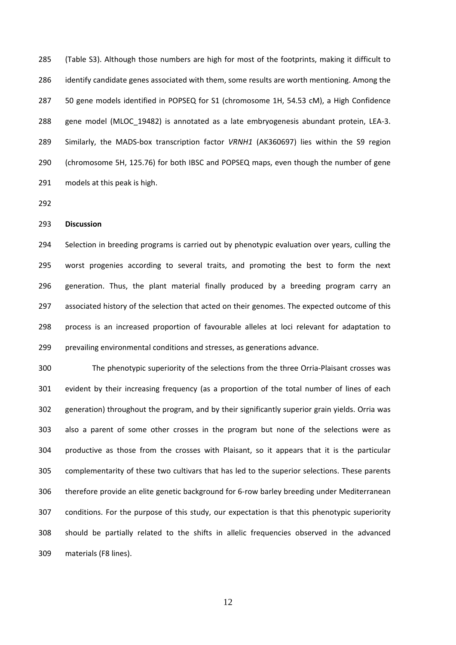(Table S3). Although those numbers are high for most of the footprints, making it difficult to identify candidate genes associated with them, some results are worth mentioning. Among the 50 gene models identified in POPSEQ for S1 (chromosome 1H, 54.53 cM), a High Confidence 288 gene model (MLOC\_19482) is annotated as a late embryogenesis abundant protein, LEA-3. Similarly, the MADS‐box transcription factor *VRNH1* (AK360697) lies within the S9 region (chromosome 5H, 125.76) for both IBSC and POPSEQ maps, even though the number of gene models at this peak is high.

# **Discussion**

294 Selection in breeding programs is carried out by phenotypic evaluation over years, culling the worst progenies according to several traits, and promoting the best to form the next generation. Thus, the plant material finally produced by a breeding program carry an associated history of the selection that acted on their genomes. The expected outcome of this process is an increased proportion of favourable alleles at loci relevant for adaptation to prevailing environmental conditions and stresses, as generations advance.

300 The phenotypic superiority of the selections from the three Orria-Plaisant crosses was evident by their increasing frequency (as a proportion of the total number of lines of each generation) throughout the program, and by their significantly superior grain yields. Orria was also a parent of some other crosses in the program but none of the selections were as productive as those from the crosses with Plaisant, so it appears that it is the particular complementarity of these two cultivars that has led to the superior selections. These parents therefore provide an elite genetic background for 6‐row barley breeding under Mediterranean conditions. For the purpose of this study, our expectation is that this phenotypic superiority should be partially related to the shifts in allelic frequencies observed in the advanced materials (F8 lines).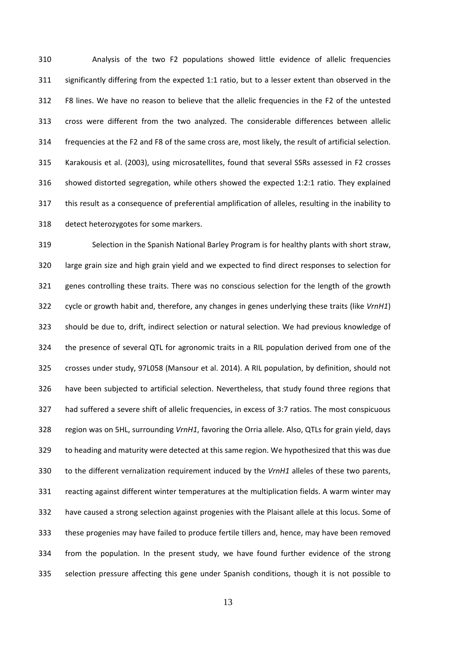Analysis of the two F2 populations showed little evidence of allelic frequencies significantly differing from the expected 1:1 ratio, but to a lesser extent than observed in the F8 lines. We have no reason to believe that the allelic frequencies in the F2 of the untested cross were different from the two analyzed. The considerable differences between allelic frequencies at the F2 and F8 of the same cross are, most likely, the result of artificial selection. Karakousis et al. (2003), using microsatellites, found that several SSRs assessed in F2 crosses showed distorted segregation, while others showed the expected 1:2:1 ratio. They explained this result as a consequence of preferential amplification of alleles, resulting in the inability to detect heterozygotes for some markers.

 Selection in the Spanish National Barley Program is for healthy plants with short straw, large grain size and high grain yield and we expected to find direct responses to selection for genes controlling these traits. There was no conscious selection for the length of the growth cycle or growth habit and, therefore, any changes in genes underlying these traits (like *VrnH1*) should be due to, drift, indirect selection or natural selection. We had previous knowledge of the presence of several QTL for agronomic traits in a RIL population derived from one of the crosses under study, 97L058 (Mansour et al. 2014). A RIL population, by definition, should not have been subjected to artificial selection. Nevertheless, that study found three regions that had suffered a severe shift of allelic frequencies, in excess of 3:7 ratios. The most conspicuous region was on 5HL, surrounding *VrnH1*, favoring the Orria allele. Also, QTLs for grain yield, days to heading and maturity were detected at this same region. We hypothesized that this was due to the different vernalization requirement induced by the *VrnH1* alleles of these two parents, reacting against different winter temperatures at the multiplication fields. A warm winter may have caused a strong selection against progenies with the Plaisant allele at this locus. Some of these progenies may have failed to produce fertile tillers and, hence, may have been removed from the population. In the present study, we have found further evidence of the strong selection pressure affecting this gene under Spanish conditions, though it is not possible to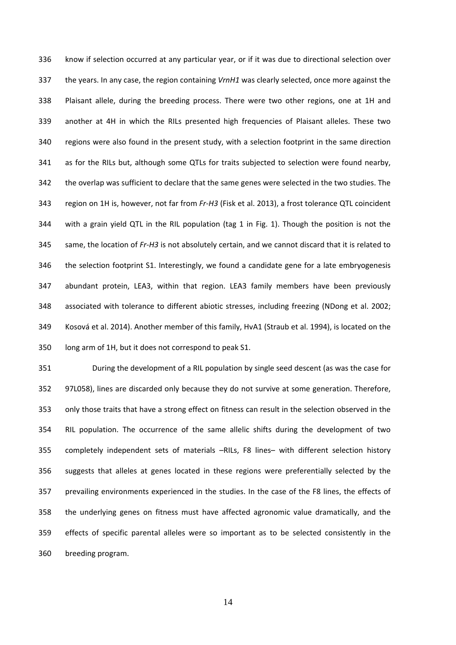know if selection occurred at any particular year, or if it was due to directional selection over the years. In any case, the region containing *VrnH1* was clearly selected, once more against the Plaisant allele, during the breeding process. There were two other regions, one at 1H and another at 4H in which the RILs presented high frequencies of Plaisant alleles. These two regions were also found in the present study, with a selection footprint in the same direction as for the RILs but, although some QTLs for traits subjected to selection were found nearby, the overlap was sufficient to declare that the same genes were selected in the two studies. The region on 1H is, however, not far from *Fr‐H3* (Fisk et al. 2013), a frost tolerance QTL coincident with a grain yield QTL in the RIL population (tag 1 in Fig. 1). Though the position is not the same, the location of *Fr‐H3* is not absolutely certain, and we cannot discard that it is related to the selection footprint S1. Interestingly, we found a candidate gene for a late embryogenesis abundant protein, LEA3, within that region. LEA3 family members have been previously associated with tolerance to different abiotic stresses, including freezing (NDong et al. 2002; Kosová et al. 2014). Another member of this family, HvA1 (Straub et al. 1994), is located on the long arm of 1H, but it does not correspond to peak S1.

 During the development of a RIL population by single seed descent (as was the case for 97L058), lines are discarded only because they do not survive at some generation. Therefore, only those traits that have a strong effect on fitness can result in the selection observed in the RIL population. The occurrence of the same allelic shifts during the development of two completely independent sets of materials –RILs, F8 lines– with different selection history suggests that alleles at genes located in these regions were preferentially selected by the prevailing environments experienced in the studies. In the case of the F8 lines, the effects of the underlying genes on fitness must have affected agronomic value dramatically, and the effects of specific parental alleles were so important as to be selected consistently in the breeding program.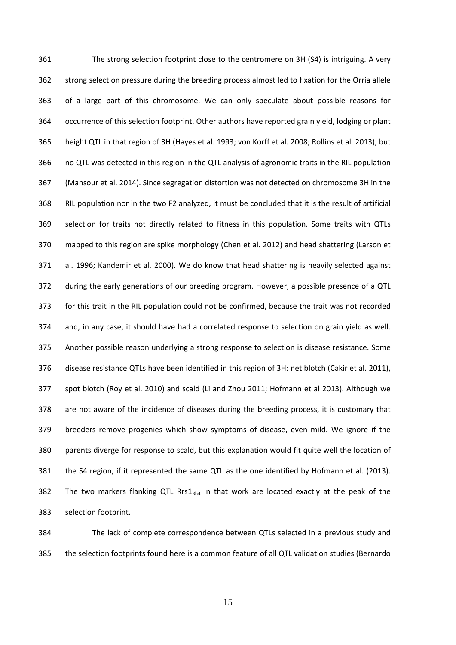The strong selection footprint close to the centromere on 3H (S4) is intriguing. A very strong selection pressure during the breeding process almost led to fixation for the Orria allele of a large part of this chromosome. We can only speculate about possible reasons for occurrence of this selection footprint. Other authors have reported grain yield, lodging or plant height QTL in that region of 3H (Hayes et al. 1993; von Korff et al. 2008; Rollins et al. 2013), but no QTL was detected in this region in the QTL analysis of agronomic traits in the RIL population (Mansour et al. 2014). Since segregation distortion was not detected on chromosome 3H in the RIL population nor in the two F2 analyzed, it must be concluded that it is the result of artificial selection for traits not directly related to fitness in this population. Some traits with QTLs mapped to this region are spike morphology (Chen et al. 2012) and head shattering (Larson et al. 1996; Kandemir et al. 2000). We do know that head shattering is heavily selected against during the early generations of our breeding program. However, a possible presence of a QTL for this trait in the RIL population could not be confirmed, because the trait was not recorded and, in any case, it should have had a correlated response to selection on grain yield as well. Another possible reason underlying a strong response to selection is disease resistance. Some disease resistance QTLs have been identified in this region of 3H: net blotch (Cakir et al. 2011), spot blotch (Roy et al. 2010) and scald (Li and Zhou 2011; Hofmann et al 2013). Although we are not aware of the incidence of diseases during the breeding process, it is customary that breeders remove progenies which show symptoms of disease, even mild. We ignore if the parents diverge for response to scald, but this explanation would fit quite well the location of the S4 region, if it represented the same QTL as the one identified by Hofmann et al. (2013). 382 The two markers flanking QTL Rrs1 $_{Rh4}$  in that work are located exactly at the peak of the selection footprint.

 The lack of complete correspondence between QTLs selected in a previous study and the selection footprints found here is a common feature of all QTL validation studies (Bernardo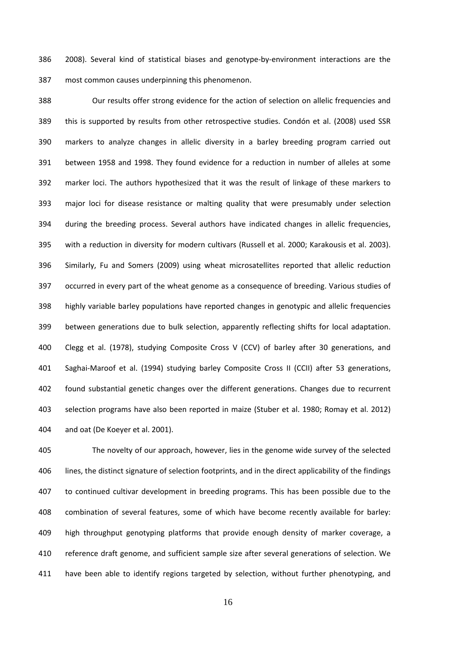2008). Several kind of statistical biases and genotype‐by‐environment interactions are the most common causes underpinning this phenomenon.

 Our results offer strong evidence for the action of selection on allelic frequencies and this is supported by results from other retrospective studies. Condón et al. (2008) used SSR markers to analyze changes in allelic diversity in a barley breeding program carried out between 1958 and 1998. They found evidence for a reduction in number of alleles at some marker loci. The authors hypothesized that it was the result of linkage of these markers to major loci for disease resistance or malting quality that were presumably under selection during the breeding process. Several authors have indicated changes in allelic frequencies, with a reduction in diversity for modern cultivars (Russell et al. 2000; Karakousis et al. 2003). Similarly, Fu and Somers (2009) using wheat microsatellites reported that allelic reduction occurred in every part of the wheat genome as a consequence of breeding. Various studies of highly variable barley populations have reported changes in genotypic and allelic frequencies between generations due to bulk selection, apparently reflecting shifts for local adaptation. Clegg et al. (1978), studying Composite Cross V (CCV) of barley after 30 generations, and 401 Saghai-Maroof et al. (1994) studying barley Composite Cross II (CCII) after 53 generations, found substantial genetic changes over the different generations. Changes due to recurrent selection programs have also been reported in maize (Stuber et al. 1980; Romay et al. 2012) and oat (De Koeyer et al. 2001).

 The novelty of our approach, however, lies in the genome wide survey of the selected lines, the distinct signature of selection footprints, and in the direct applicability of the findings to continued cultivar development in breeding programs. This has been possible due to the combination of several features, some of which have become recently available for barley: high throughput genotyping platforms that provide enough density of marker coverage, a reference draft genome, and sufficient sample size after several generations of selection. We have been able to identify regions targeted by selection, without further phenotyping, and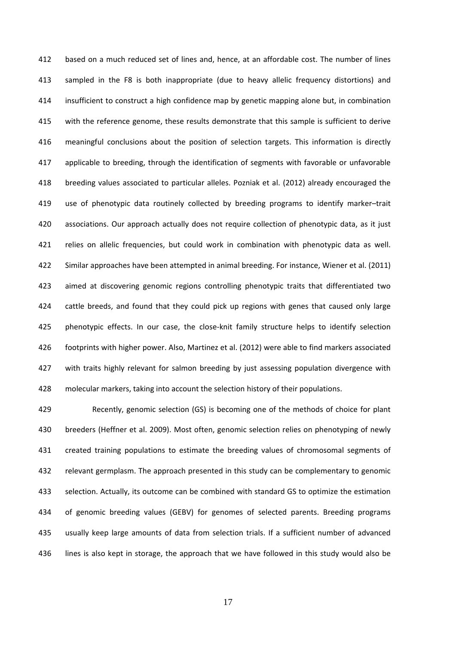based on a much reduced set of lines and, hence, at an affordable cost. The number of lines sampled in the F8 is both inappropriate (due to heavy allelic frequency distortions) and insufficient to construct a high confidence map by genetic mapping alone but, in combination with the reference genome, these results demonstrate that this sample is sufficient to derive meaningful conclusions about the position of selection targets. This information is directly applicable to breeding, through the identification of segments with favorable or unfavorable breeding values associated to particular alleles. Pozniak et al. (2012) already encouraged the use of phenotypic data routinely collected by breeding programs to identify marker–trait associations. Our approach actually does not require collection of phenotypic data, as it just relies on allelic frequencies, but could work in combination with phenotypic data as well. Similar approaches have been attempted in animal breeding. For instance, Wiener et al. (2011) aimed at discovering genomic regions controlling phenotypic traits that differentiated two 424 cattle breeds, and found that they could pick up regions with genes that caused only large 425 phenotypic effects. In our case, the close-knit family structure helps to identify selection footprints with higher power. Also, Martinez et al. (2012) were able to find markers associated 427 with traits highly relevant for salmon breeding by just assessing population divergence with molecular markers, taking into account the selection history of their populations.

 Recently, genomic selection (GS) is becoming one of the methods of choice for plant breeders (Heffner et al. 2009). Most often, genomic selection relies on phenotyping of newly created training populations to estimate the breeding values of chromosomal segments of relevant germplasm. The approach presented in this study can be complementary to genomic selection. Actually, its outcome can be combined with standard GS to optimize the estimation of genomic breeding values (GEBV) for genomes of selected parents. Breeding programs usually keep large amounts of data from selection trials. If a sufficient number of advanced lines is also kept in storage, the approach that we have followed in this study would also be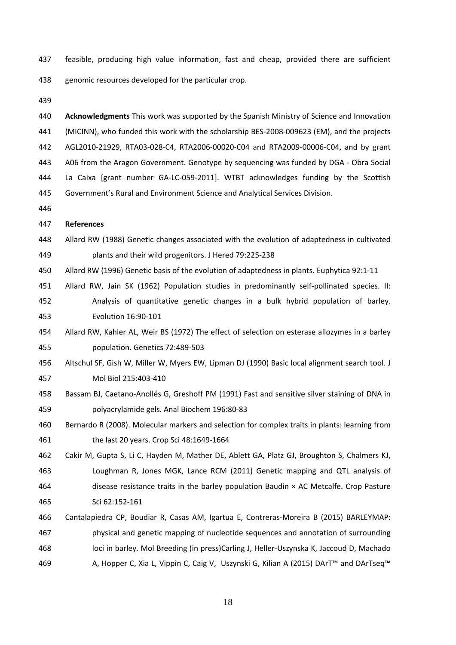- feasible, producing high value information, fast and cheap, provided there are sufficient genomic resources developed for the particular crop.
- 

 **Acknowledgments** This work was supported by the Spanish Ministry of Science and Innovation (MICINN), who funded this work with the scholarship BES‐2008‐009623 (EM), and the projects AGL2010‐21929, RTA03‐028‐C4, RTA2006‐00020‐C04 and RTA2009‐00006‐C04, and by grant A06 from the Aragon Government. Genotype by sequencing was funded by DGA ‐ Obra Social La Caixa [grant number GA‐LC‐059‐2011]. WTBT acknowledges funding by the Scottish Government's Rural and Environment Science and Analytical Services Division.

## **References**

 Allard RW (1988) Genetic changes associated with the evolution of adaptedness in cultivated plants and their wild progenitors. J Hered 79:225‐238

Allard RW (1996) Genetic basis of the evolution of adaptedness in plants. Euphytica 92:1‐11

- 451 Allard RW, Jain SK (1962) Population studies in predominantly self-pollinated species. II:
- Analysis of quantitative genetic changes in a bulk hybrid population of barley. Evolution 16:90‐101
- Allard RW, Kahler AL, Weir BS (1972) The effect of selection on esterase allozymes in a barley population. Genetics 72:489‐503
- Altschul SF, Gish W, Miller W, Myers EW, Lipman DJ (1990) Basic local alignment search tool. J Mol Biol 215:403‐410
- 458 Bassam BJ, Caetano-Anollés G, Greshoff PM (1991) Fast and sensitive silver staining of DNA in polyacrylamide gels. Anal Biochem 196:80‐83

 Bernardo R (2008). Molecular markers and selection for complex traits in plants: learning from the last 20 years. Crop Sci 48:1649‐1664

- Cakir M, Gupta S, Li C, Hayden M, Mather DE, Ablett GA, Platz GJ, Broughton S, Chalmers KJ, Loughman R, Jones MGK, Lance RCM (2011) Genetic mapping and QTL analysis of disease resistance traits in the barley population Baudin × AC Metcalfe. Crop Pasture Sci 62:152‐161
- Cantalapiedra CP, Boudiar R, Casas AM, Igartua E, Contreras‐Moreira B (2015) BARLEYMAP: physical and genetic mapping of nucleotide sequences and annotation of surrounding loci in barley. Mol Breeding (in press)Carling J, Heller‐Uszynska K, Jaccoud D, Machado 469 A, Hopper C, Xia L, Vippin C, Caig V, Uszynski G, Kilian A (2015) DArT™ and DArTseq™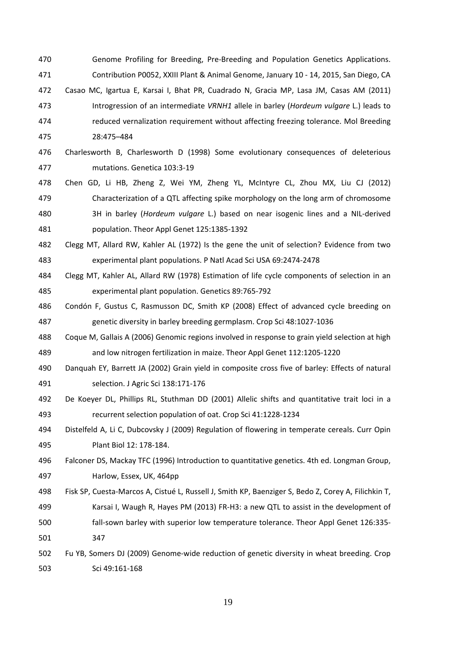- 470 Genome Profiling for Breeding, Pre-Breeding and Population Genetics Applications. Contribution P0052, XXIII Plant & Animal Genome, January 10 ‐ 14, 2015, San Diego, CA
- Casao MC, Igartua E, Karsai I, Bhat PR, Cuadrado N, Gracia MP, Lasa JM, Casas AM (2011) Introgression of an intermediate *VRNH1* allele in barley (*Hordeum vulgare* L.) leads to reduced vernalization requirement without affecting freezing tolerance. Mol Breeding 28:475–484
- Charlesworth B, Charlesworth D (1998) Some evolutionary consequences of deleterious mutations. Genetica 103:3‐19
- Chen GD, Li HB, Zheng Z, Wei YM, Zheng YL, McIntyre CL, Zhou MX, Liu CJ (2012) Characterization of a QTL affecting spike morphology on the long arm of chromosome 3H in barley (*Hordeum vulgare* L.) based on near isogenic lines and a NIL‐derived population. Theor Appl Genet 125:1385‐1392
- Clegg MT, Allard RW, Kahler AL (1972) Is the gene the unit of selection? Evidence from two experimental plant populations. P Natl Acad Sci USA 69:2474‐2478
- Clegg MT, Kahler AL, Allard RW (1978) Estimation of life cycle components of selection in an experimental plant population. Genetics 89:765‐792
- Condón F, Gustus C, Rasmusson DC, Smith KP (2008) Effect of advanced cycle breeding on genetic diversity in barley breeding germplasm. Crop Sci 48:1027‐1036
- Coque M, Gallais A (2006) Genomic regions involved in response to grain yield selection at high and low nitrogen fertilization in maize. Theor Appl Genet 112:1205‐1220
- Danquah EY, Barrett JA (2002) Grain yield in composite cross five of barley: Effects of natural selection. J Agric Sci 138:171‐176
- De Koeyer DL, Phillips RL, Stuthman DD (2001) Allelic shifts and quantitative trait loci in a recurrent selection population of oat. Crop Sci 41:1228‐1234
- Distelfeld A, Li C, Dubcovsky J (2009) Regulation of flowering in temperate cereals. Curr Opin Plant Biol 12: 178‐184.
- Falconer DS, Mackay TFC (1996) Introduction to quantitative genetics. 4th ed. Longman Group, Harlow, Essex, UK, 464pp
- Fisk SP, Cuesta‐Marcos A, Cistué L, Russell J, Smith KP, Baenziger S, Bedo Z, Corey A, Filichkin T, Karsai I, Waugh R, Hayes PM (2013) FR‐H3: a new QTL to assist in the development of **fall-sown barley with superior low temperature tolerance. Theor Appl Genet 126:335-**347
- 502 Fu YB, Somers DJ (2009) Genome-wide reduction of genetic diversity in wheat breeding. Crop Sci 49:161‐168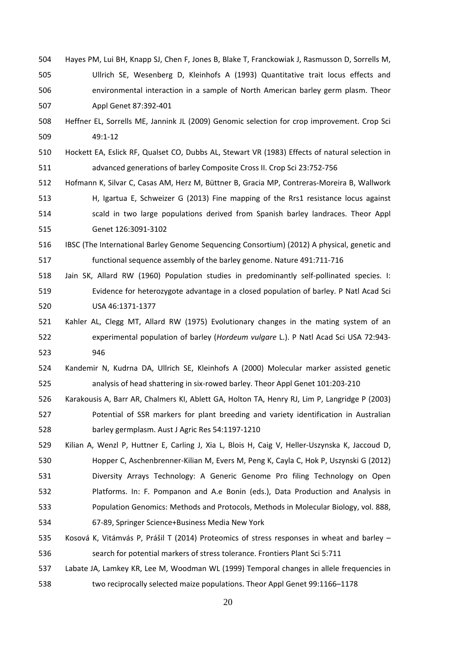- Hayes PM, Lui BH, Knapp SJ, Chen F, Jones B, Blake T, Franckowiak J, Rasmusson D, Sorrells M, Ullrich SE, Wesenberg D, Kleinhofs A (1993) Quantitative trait locus effects and environmental interaction in a sample of North American barley germ plasm. Theor Appl Genet 87:392‐401
- Heffner EL, Sorrells ME, Jannink JL (2009) Genomic selection for crop improvement. Crop Sci 49:1‐12
- Hockett EA, Eslick RF, Qualset CO, Dubbs AL, Stewart VR (1983) Effects of natural selection in advanced generations of barley Composite Cross II. Crop Sci 23:752‐756
- Hofmann K, Silvar C, Casas AM, Herz M, Büttner B, Gracia MP, Contreras‐Moreira B, Wallwork H, Igartua E, Schweizer G (2013) Fine mapping of the Rrs1 resistance locus against scald in two large populations derived from Spanish barley landraces. Theor Appl Genet 126:3091‐3102
- IBSC (The International Barley Genome Sequencing Consortium) (2012) A physical, genetic and functional sequence assembly of the barley genome. Nature 491:711‐716
- 518 Jain SK, Allard RW (1960) Population studies in predominantly self-pollinated species. I: Evidence for heterozygote advantage in a closed population of barley. P Natl Acad Sci USA 46:1371‐1377
- Kahler AL, Clegg MT, Allard RW (1975) Evolutionary changes in the mating system of an experimental population of barley (*Hordeum vulgare* L.). P Natl Acad Sci USA 72:943‐ 946
- Kandemir N, Kudrna DA, Ullrich SE, Kleinhofs A (2000) Molecular marker assisted genetic analysis of head shattering in six‐rowed barley. Theor Appl Genet 101:203‐210
- Karakousis A, Barr AR, Chalmers KI, Ablett GA, Holton TA, Henry RJ, Lim P, Langridge P (2003) Potential of SSR markers for plant breeding and variety identification in Australian barley germplasm. Aust J Agric Res 54:1197‐1210
- 529 Kilian A, Wenzl P, Huttner E, Carling J, Xia L, Blois H, Caig V, Heller-Uszynska K, Jaccoud D, Hopper C, Aschenbrenner‐Kilian M, Evers M, Peng K, Cayla C, Hok P, Uszynski G (2012) Diversity Arrays Technology: A Generic Genome Pro filing Technology on Open Platforms. In: F. Pompanon and A.e Bonin (eds.), Data Production and Analysis in Population Genomics: Methods and Protocols, Methods in Molecular Biology, vol. 888, 67‐89, Springer Science+Business Media New York
- Kosová K, Vitámvás P, Prášil T (2014) Proteomics of stress responses in wheat and barley search for potential markers of stress tolerance. Frontiers Plant Sci 5:711
- Labate JA, Lamkey KR, Lee M, Woodman WL (1999) Temporal changes in allele frequencies in two reciprocally selected maize populations. Theor Appl Genet 99:1166–1178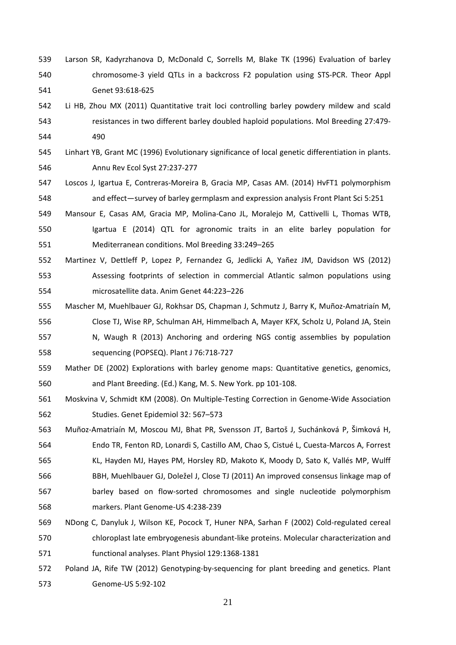- Larson SR, Kadyrzhanova D, McDonald C, Sorrells M, Blake TK (1996) Evaluation of barley chromosome‐3 yield QTLs in a backcross F2 population using STS‐PCR. Theor Appl Genet 93:618‐625
- Li HB, Zhou MX (2011) Quantitative trait loci controlling barley powdery mildew and scald 543 resistances in two different barley doubled haploid populations. Mol Breeding 27:479-490
- Linhart YB, Grant MC (1996) Evolutionary significance of local genetic differentiation in plants. Annu Rev Ecol Syst 27:237‐277
- Loscos J, Igartua E, Contreras‐Moreira B, Gracia MP, Casas AM. (2014) HvFT1 polymorphism and effect—survey of barley germplasm and expression analysis Front Plant Sci 5:251
- Mansour E, Casas AM, Gracia MP, Molina‐Cano JL, Moralejo M, Cattivelli L, Thomas WTB, Igartua E (2014) QTL for agronomic traits in an elite barley population for Mediterranean conditions. Mol Breeding 33:249–265
- Martinez V, Dettleff P, Lopez P, Fernandez G, Jedlicki A, Yañez JM, Davidson WS (2012) Assessing footprints of selection in commercial Atlantic salmon populations using microsatellite data. Anim Genet 44:223–226
- Mascher M, Muehlbauer GJ, Rokhsar DS, Chapman J, Schmutz J, Barry K, Muñoz‐Amatriaín M, Close TJ, Wise RP, Schulman AH, Himmelbach A, Mayer KFX, Scholz U, Poland JA, Stein
- N, Waugh R (2013) Anchoring and ordering NGS contig assemblies by population sequencing (POPSEQ). Plant J 76:718‐727
- Mather DE (2002) Explorations with barley genome maps: Quantitative genetics, genomics, and Plant Breeding. (Ed.) Kang, M. S. New York. pp 101‐108.
- Moskvina V, Schmidt KM (2008). On Multiple‐Testing Correction in Genome‐Wide Association Studies. Genet Epidemiol 32: 567–573
- Muñoz‐Amatriaín M, Moscou MJ, Bhat PR, Svensson JT, Bartoš J, Suchánková P, Šimková H, Endo TR, Fenton RD, Lonardi S, Castillo AM, Chao S, Cistué L, Cuesta‐Marcos A, Forrest KL, Hayden MJ, Hayes PM, Horsley RD, Makoto K, Moody D, Sato K, Vallés MP, Wulff BBH, Muehlbauer GJ, Doležel J, Close TJ (2011) An improved consensus linkage map of barley based on flow‐sorted chromosomes and single nucleotide polymorphism markers. Plant Genome‐US 4:238‐239
- NDong C, Danyluk J, Wilson KE, Pocock T, Huner NPA, Sarhan F (2002) Cold‐regulated cereal 570 chloroplast late embryogenesis abundant-like proteins. Molecular characterization and functional analyses. Plant Physiol 129:1368‐1381
- 572 Poland JA, Rife TW (2012) Genotyping-by-sequencing for plant breeding and genetics. Plant Genome‐US 5:92‐102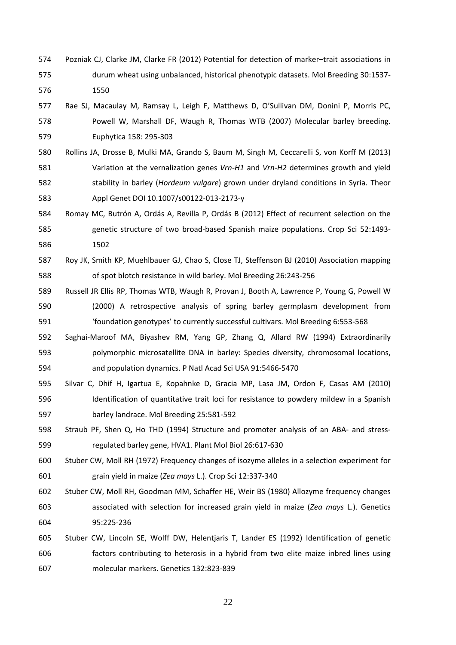- Pozniak CJ, Clarke JM, Clarke FR (2012) Potential for detection of marker–trait associations in durum wheat using unbalanced, historical phenotypic datasets. Mol Breeding 30:1537‐ 1550
- Rae SJ, Macaulay M, Ramsay L, Leigh F, Matthews D, O'Sullivan DM, Donini P, Morris PC, Powell W, Marshall DF, Waugh R, Thomas WTB (2007) Molecular barley breeding. Euphytica 158: 295‐303
- Rollins JA, Drosse B, Mulki MA, Grando S, Baum M, Singh M, Ceccarelli S, von Korff M (2013) Variation at the vernalization genes *Vrn‐H1* and *Vrn‐H2* determines growth and yield stability in barley (*Hordeum vulgare*) grown under dryland conditions in Syria. Theor Appl Genet DOI 10.1007/s00122‐013‐2173‐y
- Romay MC, Butrón A, Ordás A, Revilla P, Ordás B (2012) Effect of recurrent selection on the 585 senetic structure of two broad-based Spanish maize populations. Crop Sci 52:1493-1502
- Roy JK, Smith KP, Muehlbauer GJ, Chao S, Close TJ, Steffenson BJ (2010) Association mapping of spot blotch resistance in wild barley. Mol Breeding 26:243‐256
- Russell JR Ellis RP, Thomas WTB, Waugh R, Provan J, Booth A, Lawrence P, Young G, Powell W (2000) A retrospective analysis of spring barley germplasm development from 591 'foundation genotypes' to currently successful cultivars. Mol Breeding 6:553-568
- Saghai‐Maroof MA, Biyashev RM, Yang GP, Zhang Q, Allard RW (1994) Extraordinarily polymorphic microsatellite DNA in barley: Species diversity, chromosomal locations, and population dynamics. P Natl Acad Sci USA 91:5466‐5470
- Silvar C, Dhif H, Igartua E, Kopahnke D, Gracia MP, Lasa JM, Ordon F, Casas AM (2010) Identification of quantitative trait loci for resistance to powdery mildew in a Spanish barley landrace. Mol Breeding 25:581‐592
- 598 Straub PF, Shen Q, Ho THD (1994) Structure and promoter analysis of an ABA- and stress-regulated barley gene, HVA1. Plant Mol Biol 26:617‐630
- Stuber CW, Moll RH (1972) Frequency changes of isozyme alleles in a selection experiment for grain yield in maize (*Zea mays* L.). Crop Sci 12:337‐340
- Stuber CW, Moll RH, Goodman MM, Schaffer HE, Weir BS (1980) Allozyme frequency changes associated with selection for increased grain yield in maize (*Zea mays* L.). Genetics 95:225‐236

# Stuber CW, Lincoln SE, Wolff DW, Helentjaris T, Lander ES (1992) Identification of genetic factors contributing to heterosis in a hybrid from two elite maize inbred lines using molecular markers. Genetics 132:823‐839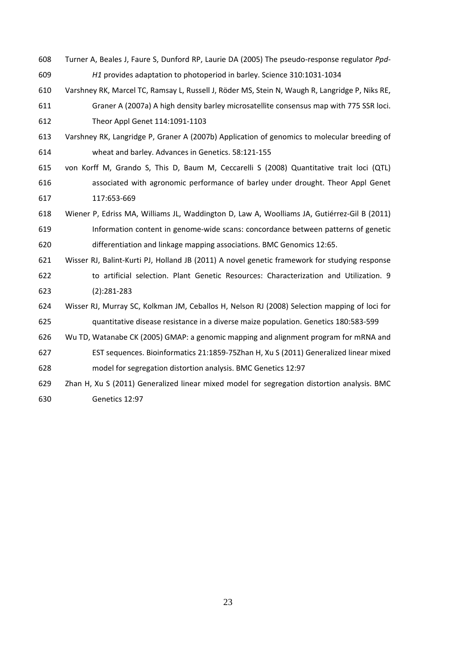Turner A, Beales J, Faure S, Dunford RP, Laurie DA (2005) The pseudo‐response regulator *Ppd‐ H1* provides adaptation to photoperiod in barley. Science 310:1031‐1034 Varshney RK, Marcel TC, Ramsay L, Russell J, Röder MS, Stein N, Waugh R, Langridge P, Niks RE, Graner A (2007a) A high density barley microsatellite consensus map with 775 SSR loci. Theor Appl Genet 114:1091‐1103 Varshney RK, Langridge P, Graner A (2007b) Application of genomics to molecular breeding of wheat and barley. Advances in Genetics. 58:121‐155 von Korff M, Grando S, This D, Baum M, Ceccarelli S (2008) Quantitative trait loci (QTL) associated with agronomic performance of barley under drought. Theor Appl Genet 117:653‐669 Wiener P, Edriss MA, Williams JL, Waddington D, Law A, Woolliams JA, Gutiérrez‐Gil B (2011) Information content in genome‐wide scans: concordance between patterns of genetic differentiation and linkage mapping associations. BMC Genomics 12:65. Wisser RJ, Balint‐Kurti PJ, Holland JB (2011) A novel genetic framework for studying response to artificial selection. Plant Genetic Resources: Characterization and Utilization. 9 (2):281‐283 Wisser RJ, Murray SC, Kolkman JM, Ceballos H, Nelson RJ (2008) Selection mapping of loci for quantitative disease resistance in a diverse maize population. Genetics 180:583‐599 Wu TD, Watanabe CK (2005) GMAP: a genomic mapping and alignment program for mRNA and EST sequences. Bioinformatics 21:1859‐75Zhan H, Xu S (2011) Generalized linear mixed model for segregation distortion analysis. BMC Genetics 12:97 Zhan H, Xu S (2011) Generalized linear mixed model for segregation distortion analysis. BMC Genetics 12:97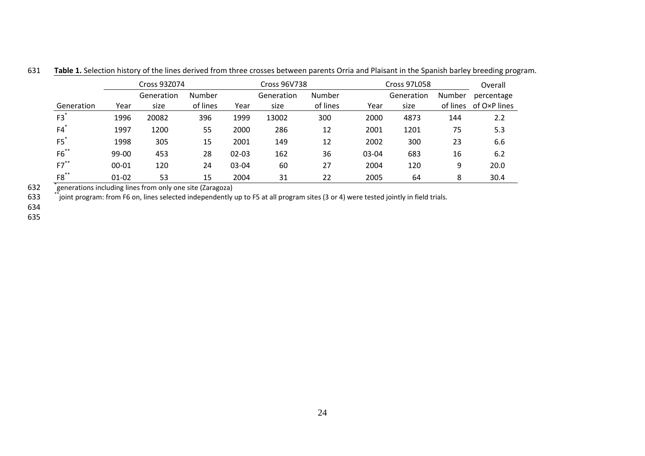Cross 93Z074Cross 96V738 Cross 97L058 Overall Number percentage Generationn Year size of lines Year size of lines Year size of lines of O×P lines Generation size Number of lines Year Generation size Number of lines Year Generation size

20082 396 1999 13002 300 2000 4873 144 2.2

1200 55 2000 286 12 2001 1201 75 5.3

305 15 2001 149 12 2002 300 23 6.6

453 28 02‐03 162 36 03‐04 683 16 6.2

120 24 03‐04 60 27 2004 120 9 20.0

53 15 2004 31 22 2005 64 8 30.4

631**Table 1.** Selection history of the lines derived from three crosses between parents Orria and Plaisant in the Spanish barley breeding program.

2 *igenerations including lines from only one site (Zaragoza)* 632

1996

1997

1998

99‐00

00‐01

01‐02

3 <sup>\*\*</sup>joint program: from F6 on, lines selected independently up to F5 at all program sites (3 or 4) were tested jointly in field trials. 633

634

F3 \*

F4 \*

F5 \*

F6 \*\*

F7 \*\*

F8 \*\*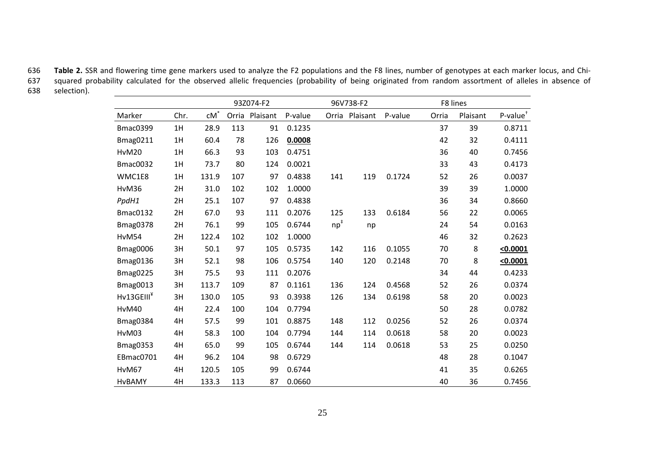636 **Table 2.** SSR and flowering time gene markers used to analyze the F2 populations and the F8 lines, number of genotypes at each marker locus, and Chi‐ squared probability calculated for the observed allelic frequencies (probability of being originated from random assortment of alleles in absence of 637638 selection).  $\mathcal{L}_{\mathcal{A}}$ 

|                        |      | 93Z074-F2 |       |          |         | 96V738-F2 |          |         | F8 lines |          |                |
|------------------------|------|-----------|-------|----------|---------|-----------|----------|---------|----------|----------|----------------|
| Marker                 | Chr. | $cM^*$    | Orria | Plaisant | P-value | Orria     | Plaisant | P-value | Orria    | Plaisant | $P$ -value $†$ |
| <b>Bmac0399</b>        | 1H   | 28.9      | 113   | 91       | 0.1235  |           |          |         | 37       | 39       | 0.8711         |
| <b>Bmag0211</b>        | 1H   | 60.4      | 78    | 126      | 0.0008  |           |          |         | 42       | 32       | 0.4111         |
| HvM20                  | 1H   | 66.3      | 93    | 103      | 0.4751  |           |          |         | 36       | 40       | 0.7456         |
| <b>Bmac0032</b>        | 1H   | 73.7      | 80    | 124      | 0.0021  |           |          |         | 33       | 43       | 0.4173         |
| WMC1E8                 | 1H   | 131.9     | 107   | 97       | 0.4838  | 141       | 119      | 0.1724  | 52       | 26       | 0.0037         |
| HvM36                  | 2H   | 31.0      | 102   | 102      | 1.0000  |           |          |         | 39       | 39       | 1.0000         |
| PpdH1                  | 2H   | 25.1      | 107   | 97       | 0.4838  |           |          |         | 36       | 34       | 0.8660         |
| <b>Bmac0132</b>        | 2H   | 67.0      | 93    | 111      | 0.2076  | 125       | 133      | 0.6184  | 56       | 22       | 0.0065         |
| <b>Bmag0378</b>        | 2H   | 76.1      | 99    | 105      | 0.6744  | $np^*$    | np       |         | 24       | 54       | 0.0163         |
| HvM54                  | 2H   | 122.4     | 102   | 102      | 1.0000  |           |          |         | 46       | 32       | 0.2623         |
| <b>Bmag0006</b>        | 3H   | 50.1      | 97    | 105      | 0.5735  | 142       | 116      | 0.1055  | 70       | 8        | < 0.0001       |
| <b>Bmag0136</b>        | 3H   | 52.1      | 98    | 106      | 0.5754  | 140       | 120      | 0.2148  | 70       | 8        | < 0.0001       |
| <b>Bmag0225</b>        | 3H   | 75.5      | 93    | 111      | 0.2076  |           |          |         | 34       | 44       | 0.4233         |
| <b>Bmag0013</b>        | 3H   | 113.7     | 109   | 87       | 0.1161  | 136       | 124      | 0.4568  | 52       | 26       | 0.0374         |
| Hv13GEIII <sup>Y</sup> | 3H   | 130.0     | 105   | 93       | 0.3938  | 126       | 134      | 0.6198  | 58       | 20       | 0.0023         |
| HvM40                  | 4H   | 22.4      | 100   | 104      | 0.7794  |           |          |         | 50       | 28       | 0.0782         |
| <b>Bmag0384</b>        | 4H   | 57.5      | 99    | 101      | 0.8875  | 148       | 112      | 0.0256  | 52       | 26       | 0.0374         |
| HvM03                  | 4H   | 58.3      | 100   | 104      | 0.7794  | 144       | 114      | 0.0618  | 58       | 20       | 0.0023         |
| <b>Bmag0353</b>        | 4H   | 65.0      | 99    | 105      | 0.6744  | 144       | 114      | 0.0618  | 53       | 25       | 0.0250         |
| EBmac0701              | 4H   | 96.2      | 104   | 98       | 0.6729  |           |          |         | 48       | 28       | 0.1047         |
| HvM67                  | 4H   | 120.5     | 105   | 99       | 0.6744  |           |          |         | 41       | 35       | 0.6265         |
| <b>HvBAMY</b>          | 4H   | 133.3     | 113   | 87       | 0.0660  |           |          |         | 40       | 36       | 0.7456         |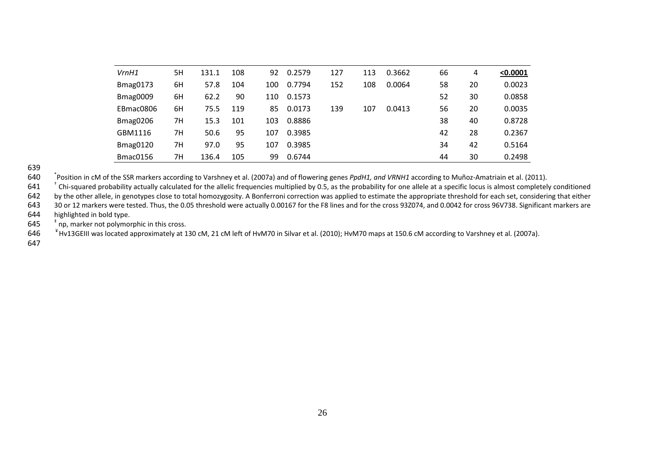| VrnH1           | 5H | 131.1 | 108 | 92  | 0.2579 | 127 | 113 | 0.3662 | 66 | 4  | < 0.0001 |
|-----------------|----|-------|-----|-----|--------|-----|-----|--------|----|----|----------|
| <b>Bmag0173</b> | 6H | 57.8  | 104 | 100 | 0.7794 | 152 | 108 | 0.0064 | 58 | 20 | 0.0023   |
| <b>Bmag0009</b> | 6H | 62.2  | 90  | 110 | 0.1573 |     |     |        | 52 | 30 | 0.0858   |
| EBmac0806       | 6H | 75.5  | 119 | 85  | 0.0173 | 139 | 107 | 0.0413 | 56 | 20 | 0.0035   |
| <b>Bmag0206</b> | 7H | 15.3  | 101 | 103 | 0.8886 |     |     |        | 38 | 40 | 0.8728   |
| GBM1116         | 7н | 50.6  | 95  | 107 | 0.3985 |     |     |        | 42 | 28 | 0.2367   |
| <b>Bmag0120</b> | 7H | 97.0  | 95  | 107 | 0.3985 |     |     |        | 34 | 42 | 0.5164   |
| Bmac0156        | 7н | 136.4 | 105 | 99  | 0.6744 |     |     |        | 44 | 30 | 0.2498   |

\* Position in cM of the SSR markers according to Varshney et al. (2007a) and of flowering genes *PpdH1, and VRNH1* according to Muñoz‐Amatriain et al. (2011). 640

 $1$   $^{-1}$  Chi-squared probability actually calculated for the allelic frequencies multiplied by 0.5, as the probability for one allele at a specific locus is almost completely conditioned 641

642by the other allele, in genotypes close to total homozygosity. A Bonferroni correction was applied to estimate the appropriate threshold for each set, considering that either

643 30 or 12 markers were tested. Thus, the 0.05 threshold were actually 0.00167 for the F8 lines and for the cross 93Z074, and 0.0042 for cross 96V738. Significant markers are 644highlighted in bold type.

 $5<sup>†</sup>$  np, marker not polymorphic in this cross. 645

<sup>¥</sup> Hv13GEIII was located approximately at 130 cM, 21 cM left of HvM70 in Silvar et al. (2010); HvM70 maps at 150.6 cM according to Varshney et al. (2007a). 646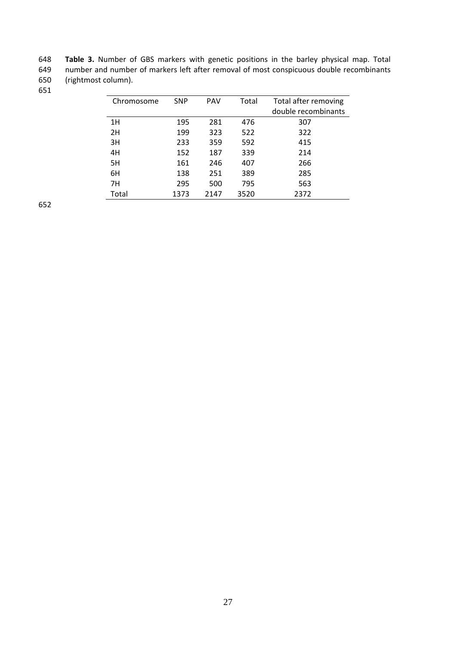648 **Table 3.** Number of GBS markers with genetic positions in the barley physical map. Total 649 number and number of markers left after removal of most conspicuous double recombinants (rightmost column).

| Chromosome | <b>SNP</b> | <b>PAV</b> | Total | Total after removing |  |  |
|------------|------------|------------|-------|----------------------|--|--|
|            |            |            |       | double recombinants  |  |  |
| 1H         | 195        | 281        | 476   | 307                  |  |  |
| 2H         | 199        | 323        | 522   | 322                  |  |  |
| 3H         | 233        | 359        | 592   | 415                  |  |  |
| 4H         | 152        | 187        | 339   | 214                  |  |  |
| 5H         | 161        | 246        | 407   | 266                  |  |  |
| 6H         | 138        | 251        | 389   | 285                  |  |  |
| 7H         | 295        | 500        | 795   | 563                  |  |  |
| Total      | 1373       | 2147       | 3520  | 2372                 |  |  |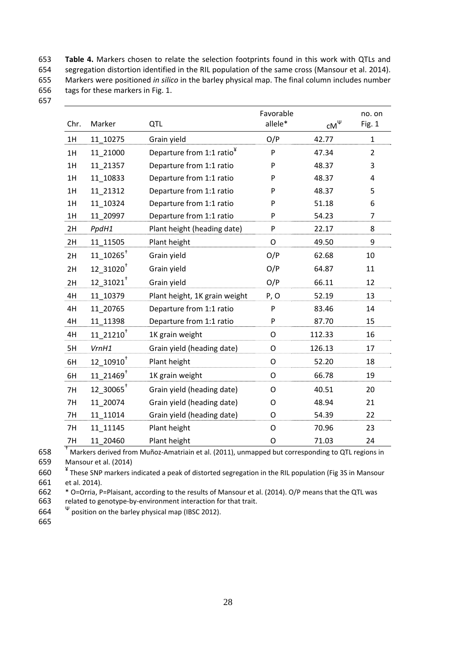653 **Table 4.** Markers chosen to relate the selection footprints found in this work with QTLs and 654 segregation distortion identified in the RIL population of the same cross (Mansour et al. 2014). 655 Markers were positioned *in silico* in the barley physical map. The final column includes number 656 tags for these markers in Fig. 1.

|                                                                                                                                                                                                                                                                                                                                               | Favorable                                       |         | no. on             |
|-----------------------------------------------------------------------------------------------------------------------------------------------------------------------------------------------------------------------------------------------------------------------------------------------------------------------------------------------|-------------------------------------------------|---------|--------------------|
|                                                                                                                                                                                                                                                                                                                                               |                                                 |         | Fig. 1             |
| Grain yield                                                                                                                                                                                                                                                                                                                                   | O/P                                             | 42.77   | $\mathbf{1}$       |
| Departure from 1:1 ratio <sup>¥</sup>                                                                                                                                                                                                                                                                                                         | P                                               | 47.34   | $\overline{2}$     |
| Departure from 1:1 ratio                                                                                                                                                                                                                                                                                                                      | P                                               | 48.37   | 3                  |
| Departure from 1:1 ratio                                                                                                                                                                                                                                                                                                                      | P                                               | 48.37   | 4                  |
| Departure from 1:1 ratio                                                                                                                                                                                                                                                                                                                      | P                                               | 48.37   | 5                  |
| Departure from 1:1 ratio                                                                                                                                                                                                                                                                                                                      | P                                               | 51.18   | 6                  |
| Departure from 1:1 ratio                                                                                                                                                                                                                                                                                                                      | P                                               | 54.23   | 7                  |
| Plant height (heading date)                                                                                                                                                                                                                                                                                                                   | P                                               | 22.17   | 8                  |
| Plant height                                                                                                                                                                                                                                                                                                                                  | O                                               | 49.50   | 9                  |
| Grain yield                                                                                                                                                                                                                                                                                                                                   | O/P                                             | 62.68   | 10                 |
| Grain yield                                                                                                                                                                                                                                                                                                                                   | O/P                                             | 64.87   | 11                 |
| Grain yield                                                                                                                                                                                                                                                                                                                                   | O/P                                             | 66.11   | 12                 |
| Plant height, 1K grain weight                                                                                                                                                                                                                                                                                                                 | P, O                                            | 52.19   | 13                 |
| Departure from 1:1 ratio                                                                                                                                                                                                                                                                                                                      | P                                               | 83.46   | 14                 |
| Departure from 1:1 ratio                                                                                                                                                                                                                                                                                                                      | P                                               | 87.70   | 15                 |
| 1K grain weight                                                                                                                                                                                                                                                                                                                               | O                                               | 112.33  | 16                 |
| Grain yield (heading date)                                                                                                                                                                                                                                                                                                                    | O                                               | 126.13  | 17                 |
| Plant height                                                                                                                                                                                                                                                                                                                                  | O                                               | 52.20   | 18                 |
| 1K grain weight                                                                                                                                                                                                                                                                                                                               | O                                               | 66.78   | 19                 |
| Grain yield (heading date)                                                                                                                                                                                                                                                                                                                    | O                                               | 40.51   | 20                 |
| Grain yield (heading date)                                                                                                                                                                                                                                                                                                                    | O                                               | 48.94   | 21                 |
| Grain yield (heading date)                                                                                                                                                                                                                                                                                                                    | O                                               | 54.39   | 22                 |
| Plant height                                                                                                                                                                                                                                                                                                                                  | O                                               | 70.96   | 23                 |
| Plant height                                                                                                                                                                                                                                                                                                                                  | O                                               | 71.03   | 24                 |
| Marker<br>11_10275<br>11 21000<br>11 21357<br>11_10833<br>11_21312<br>11 10324<br>11_20997<br>PpdH1<br>11_11505<br>$11\_10265$ <sup>†</sup><br>$12\_31020^+$<br>12 31021<br>11 10379<br>11 20765<br>11_11398<br>$11\_21210^+$<br>VrnH1<br>$12\_10910^+$<br>11 21469 <sup>+</sup><br>12_30065+<br>11 20074<br>11 11014<br>11 11145<br>11 20460 | QTL<br>$A_{\text{total}} = 1.64 \times 10^{12}$ | allele* | $\mathsf{CM}^\Psi$ |

† 658 Markers derived from Muñoz‐Amatriain et al. (2011), unmapped but corresponding to QTL regions in

659 Mansour et al. (2014)

660 \* These SNP markers indicated a peak of distorted segregation in the RIL population (Fig 3S in Mansour 661 et al. 2014).

662 \* O=Orria, P=Plaisant, according to the results of Mansour et al. (2014). O/P means that the QTL was 663 related to genotype-by-environment interaction for that trait.

664  $\psi$  position on the barley physical map (IBSC 2012).